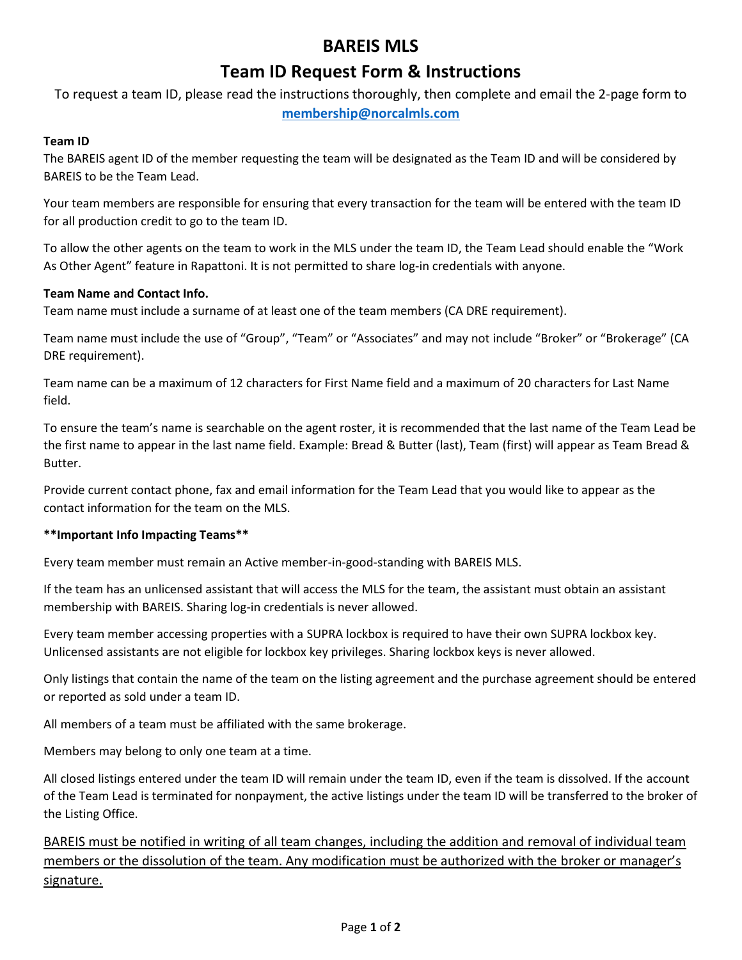# **BAREIS MLS**

## **Team ID Request Form & Instructions**

To request a team ID, please read the instructions thoroughly, then complete and email the 2-page form to **[membership@norcalmls.com](mailto:membership@norcalmls.com)**

## **Team ID**

The BAREIS agent ID of the member requesting the team will be designated as the Team ID and will be considered by BAREIS to be the Team Lead.

Your team members are responsible for ensuring that every transaction for the team will be entered with the team ID for all production credit to go to the team ID.

To allow the other agents on the team to work in the MLS under the team ID, the Team Lead should enable the "Work As Other Agent" feature in Rapattoni. It is not permitted to share log-in credentials with anyone.

### **Team Name and Contact Info.**

Team name must include a surname of at least one of the team members (CA DRE requirement).

Team name must include the use of "Group", "Team" or "Associates" and may not include "Broker" or "Brokerage" (CA DRE requirement).

Team name can be a maximum of 12 characters for First Name field and a maximum of 20 characters for Last Name field.

To ensure the team's name is searchable on the agent roster, it is recommended that the last name of the Team Lead be the first name to appear in the last name field. Example: Bread & Butter (last), Team (first) will appear as Team Bread & Butter.

Provide current contact phone, fax and email information for the Team Lead that you would like to appear as the contact information for the team on the MLS.

### **\*\*Important Info Impacting Teams\*\***

Every team member must remain an Active member-in-good-standing with BAREIS MLS.

If the team has an unlicensed assistant that will access the MLS for the team, the assistant must obtain an assistant membership with BAREIS. Sharing log-in credentials is never allowed.

Every team member accessing properties with a SUPRA lockbox is required to have their own SUPRA lockbox key. Unlicensed assistants are not eligible for lockbox key privileges. Sharing lockbox keys is never allowed.

Only listings that contain the name of the team on the listing agreement and the purchase agreement should be entered or reported as sold under a team ID.

All members of a team must be affiliated with the same brokerage.

Members may belong to only one team at a time.

All closed listings entered under the team ID will remain under the team ID, even if the team is dissolved. If the account of the Team Lead is terminated for nonpayment, the active listings under the team ID will be transferred to the broker of the Listing Office.

BAREIS must be notified in writing of all team changes, including the addition and removal of individual team members or the dissolution of the team. Any modification must be authorized with the broker or manager's signature.